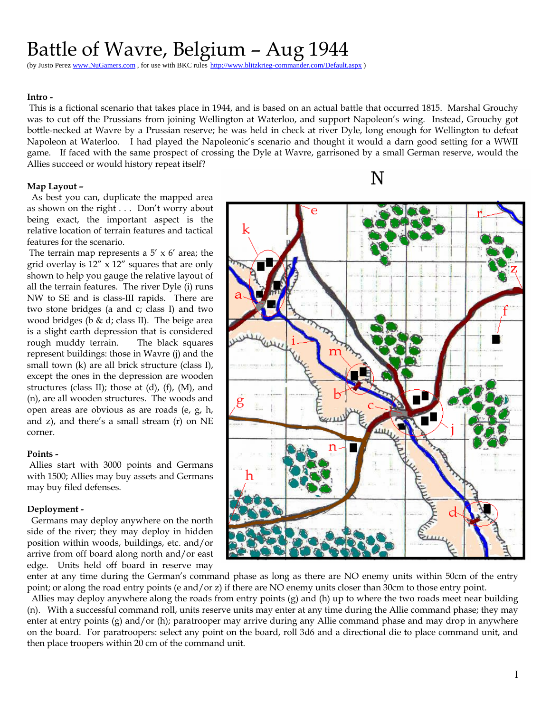# Battle of Wavre, Belgium – Aug 1944

(by Justo Perez www.NuGamers.com, for use with BKC rules http://www.blitzkrieg

#### **Intro -**

 This is a fictional scenario that takes place in 1944, and is based on an actual battle that occurred 1815. Marshal Grouchy was to cut off the Prussians from joining Wellington at Waterloo, and support Napoleon's wing. Instead, Grouchy got bottle-necked at Wavre by a Prussian reserve; he was held in check at river Dyle, long enough for Wellington to defeat Napoleon at Waterloo. I had played the Napoleonic's scenario and thought it would a darn good setting for a WWII game. If faced with the same prospect of crossing the Dyle at Wavre, garrisoned by a small German reserve, would the Allies succeed or would history repeat itself?

#### **Map Layout –**

 As best you can, duplicate the mapped area as shown on the right . . . Don't worry about being exact, the important aspect is the relative location of terrain features and tactical features for the scenario.

The terrain map represents a  $5' \times 6'$  area; the grid overlay is 12" x 12" squares that are only shown to help you gauge the relative layout of all the terrain features. The river Dyle (i) runs NW to SE and is class-III rapids. There are two stone bridges (a and c; class I) and two wood bridges (b  $&$  d; class II). The beige area is a slight earth depression that is considered rough muddy terrain. The black squares represent buildings: those in Wavre (j) and the small town (k) are all brick structure (class I), except the ones in the depression are wooden structures (class II); those at  $(d)$ ,  $(f)$ ,  $(M)$ , and (n), are all wooden structures. The woods and open areas are obvious as are roads (e, g, h, and z), and there's a small stream (r) on NE corner.

#### **Points -**

 Allies start with 3000 points and Germans with 1500; Allies may buy assets and Germans may buy filed defenses.

#### **Deployment -**

 Germans may deploy anywhere on the north side of the river; they may deploy in hidden position within woods, buildings, etc. and/or arrive from off board along north and/or east edge. Units held off board in reserve may

enter at any time during the German's command phase as long as there are NO enemy units within 50cm of the entry point; or along the road entry points (e and/or z) if there are NO enemy units closer than 30cm to those entry point.

 Allies may deploy anywhere along the roads from entry points (g) and (h) up to where the two roads meet near building (n). With a successful command roll, units reserve units may enter at any time during the Allie command phase; they may enter at entry points (g) and/or (h); paratrooper may arrive during any Allie command phase and may drop in anywhere on the board. For paratroopers: select any point on the board, roll 3d6 and a directional die to place command unit, and then place troopers within 20 cm of the command unit.

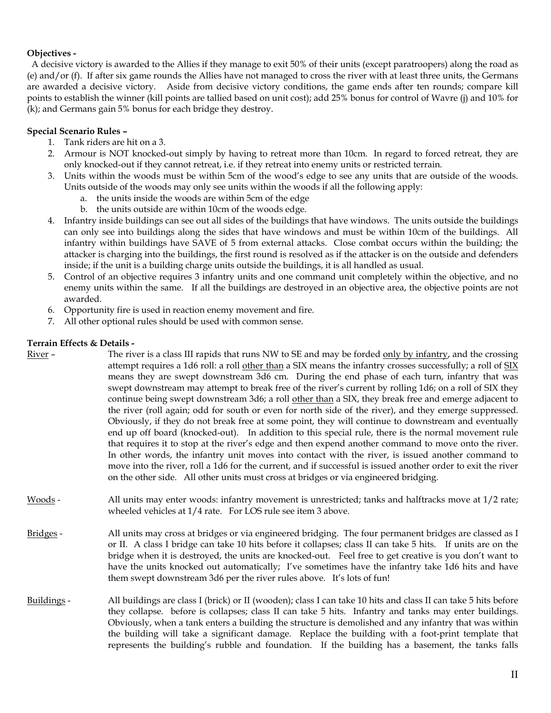## **Objectives -**

 A decisive victory is awarded to the Allies if they manage to exit 50% of their units (except paratroopers) along the road as (e) and/or (f). If after six game rounds the Allies have not managed to cross the river with at least three units, the Germans are awarded a decisive victory. Aside from decisive victory conditions, the game ends after ten rounds; compare kill points to establish the winner (kill points are tallied based on unit cost); add 25% bonus for control of Wavre (j) and 10% for (k); and Germans gain 5% bonus for each bridge they destroy.

## **Special Scenario Rules –**

- 1. Tank riders are hit on a 3.
- 2. Armour is NOT knocked-out simply by having to retreat more than 10cm. In regard to forced retreat, they are only knocked-out if they cannot retreat, i.e. if they retreat into enemy units or restricted terrain.
- 3. Units within the woods must be within 5cm of the wood's edge to see any units that are outside of the woods. Units outside of the woods may only see units within the woods if all the following apply:
	- a. the units inside the woods are within 5cm of the edge
	- b. the units outside are within 10cm of the woods edge.
- 4. Infantry inside buildings can see out all sides of the buildings that have windows. The units outside the buildings can only see into buildings along the sides that have windows and must be within 10cm of the buildings. All infantry within buildings have SAVE of 5 from external attacks. Close combat occurs within the building; the attacker is charging into the buildings, the first round is resolved as if the attacker is on the outside and defenders inside; if the unit is a building charge units outside the buildings, it is all handled as usual.
- 5. Control of an objective requires 3 infantry units and one command unit completely within the objective, and no enemy units within the same. If all the buildings are destroyed in an objective area, the objective points are not awarded.
- 6. Opportunity fire is used in reaction enemy movement and fire.
- 7. All other optional rules should be used with common sense.

## **Terrain Effects & Details -**

| River-      | The river is a class III rapids that runs NW to SE and may be forded only by infantry, and the crossing<br>attempt requires a 1d6 roll: a roll other than a SIX means the infantry crosses successfully; a roll of SIX<br>means they are swept downstream 3d6 cm. During the end phase of each turn, infantry that was<br>swept downstream may attempt to break free of the river's current by rolling 1d6; on a roll of SIX they<br>continue being swept downstream 3d6; a roll other than a SIX, they break free and emerge adjacent to<br>the river (roll again; odd for south or even for north side of the river), and they emerge suppressed.<br>Obviously, if they do not break free at some point, they will continue to downstream and eventually<br>end up off board (knocked-out). In addition to this special rule, there is the normal movement rule<br>that requires it to stop at the river's edge and then expend another command to move onto the river.<br>In other words, the infantry unit moves into contact with the river, is issued another command to<br>move into the river, roll a 1d6 for the current, and if successful is issued another order to exit the river<br>on the other side. All other units must cross at bridges or via engineered bridging. |
|-------------|----------------------------------------------------------------------------------------------------------------------------------------------------------------------------------------------------------------------------------------------------------------------------------------------------------------------------------------------------------------------------------------------------------------------------------------------------------------------------------------------------------------------------------------------------------------------------------------------------------------------------------------------------------------------------------------------------------------------------------------------------------------------------------------------------------------------------------------------------------------------------------------------------------------------------------------------------------------------------------------------------------------------------------------------------------------------------------------------------------------------------------------------------------------------------------------------------------------------------------------------------------------------------------------|
| Woods -     | All units may enter woods: infantry movement is unrestricted; tanks and halftracks move at 1/2 rate;<br>wheeled vehicles at 1/4 rate. For LOS rule see item 3 above.                                                                                                                                                                                                                                                                                                                                                                                                                                                                                                                                                                                                                                                                                                                                                                                                                                                                                                                                                                                                                                                                                                                   |
| Bridges -   | All units may cross at bridges or via engineered bridging. The four permanent bridges are classed as I<br>or II. A class I bridge can take 10 hits before it collapses; class II can take 5 hits. If units are on the<br>bridge when it is destroyed, the units are knocked-out. Feel free to get creative is you don't want to<br>have the units knocked out automatically; I've sometimes have the infantry take 1d6 hits and have<br>them swept downstream 3d6 per the river rules above. It's lots of fun!                                                                                                                                                                                                                                                                                                                                                                                                                                                                                                                                                                                                                                                                                                                                                                         |
| Buildings - | All buildings are class I (brick) or II (wooden); class I can take 10 hits and class II can take 5 hits before<br>they collapse. before is collapses; class II can take 5 hits. Infantry and tanks may enter buildings.<br>Obviously, when a tank enters a building the structure is demolished and any infantry that was within<br>the building will take a significant damage. Replace the building with a foot-print template that<br>represents the building's rubble and foundation. If the building has a basement, the tanks falls                                                                                                                                                                                                                                                                                                                                                                                                                                                                                                                                                                                                                                                                                                                                              |